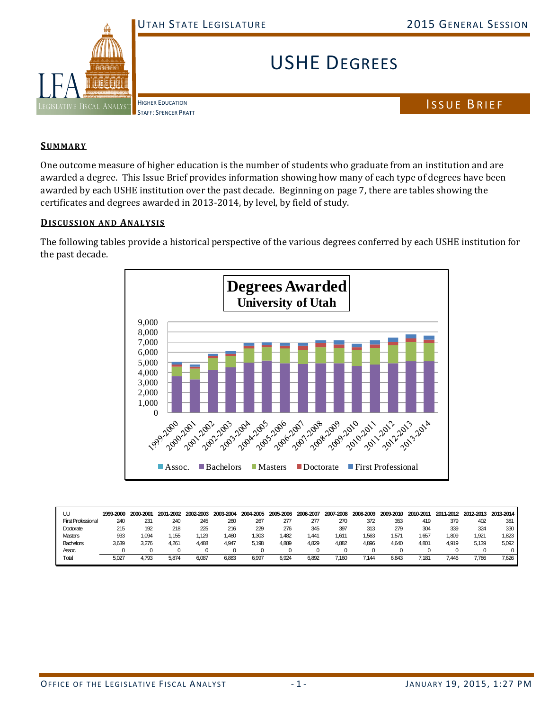

## USHE DEGREES

HIGHER EDUCATION STAFF: SPENCER PRATT

ISSUE BRIEF

## **SUMMARY**

One outcome measure of higher education is the number of students who graduate from an institution and are awarded a degree. This Issue Brief provides information showing how many of each type of degrees have been awarded by each USHE institution over the past decade. Beginning on page 7, there are tables showing the certificates and degrees awarded in 2013-2014, by level, by field of study.

## **DISCUSSION AND ANALYSIS**

The following tables provide a historical perspective of the various degrees conferred by each USHE institution for the past decade.



| UU                        | 1999-2000 | 2000-2001 | 2001-2002 | 2002-2003 | 2003-2004 | 2004-2005 | 2005-2006 | 2006-2007 | 2007-2008 | 2008-2009 | 2009-2010     | 2010-2011 | 2011-2012 | 2012-2013 | 2013-2014 |
|---------------------------|-----------|-----------|-----------|-----------|-----------|-----------|-----------|-----------|-----------|-----------|---------------|-----------|-----------|-----------|-----------|
| <b>First Professional</b> | 240       | 231       | 240       | 245       | 260       | 267       | 277       | 277       | 270       | 372       | 353           | 419       | 379       | 402       | 381       |
| Doctorate                 | 215       | 192       | 218       | 225       | 216       | 229       | 276       | 345       | 397       | 313       | 279           | 304       | 339       | 324       | 330       |
| <b>Masters</b>            | 933       | 1.094     | .155      | .129      | .460      | 1.303     | .482      | 441، ،    | .611      | 1.563     | $.57^{\circ}$ | 1.657     | .809      | 1.921     | 1.823     |
| <b>Bachelors</b>          | 3.639     | 3.276     | 4.261     | 4.488     | 4.947     | 5.198     | 4.889     | 4.829     | 4.882     | 4,896     | 4.640         | 4.801     | 4.919     | 5.139     | 5.092     |
| Assoc.                    |           |           |           |           |           |           |           |           |           |           |               |           |           |           |           |
| Total                     | 5,027     | 1.793     | 5,874     | 6,087     | 6,883     | 6,997     | 6.924     | 6,892     | ,160      | 7,144     | 6.843         | .181      | '.446     | 1,786     | 7.626     |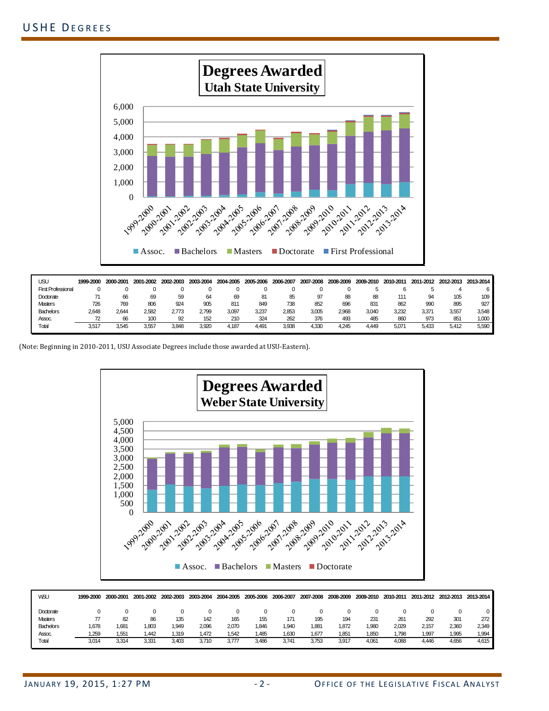

| USU                       | 1999-2000 | 2000-2001 | 2001-2002 | 2002-2003 | 2003-2004 | 2004-2005 | 2005-2006 | 2006-2007 | 2007-2008 | 2008-2009 | 2009-2010 | 2010-2011 | 2011-2012 | 2012-2013 | 2013-2014 |
|---------------------------|-----------|-----------|-----------|-----------|-----------|-----------|-----------|-----------|-----------|-----------|-----------|-----------|-----------|-----------|-----------|
| <b>First Professional</b> |           |           |           |           |           |           |           |           |           |           |           |           |           |           |           |
| Doctorate                 |           | 66        | 69        | 59        | 64        | 69        | 8         | 85        | 97        | 88        | 88        | '11       | 94        | 105       | 109       |
| <b>Masters</b>            | 726       | 769       | 806       | 924       | 905       | 811       | 849       | 738       | 852       | 696       | 831       | 862       | 990       | 895       | 927       |
| <b>Bachelors</b>          | 2,648     | 2.644     | 2.582     | 2.773     | 2,799     | 3,097     | 3.237     | 2,853     | 3,005     | 2.968     | 3.040     | 3,232     | 3.37'     | 3,557     | 3.548     |
| Assoc.                    |           | 66        | 100       | 92        | 152       | 210       | 324       | 262       | 376       | 493       | 485       | 860       | 973       | 851       | ,000      |
| Total                     | 3,517     | 3.545     | 3.557     | 3.848     | 3,920     | 4.187     | .49       | 3.938     | 1.33C     | 4,245     | .449      | 5.071     | 5.433     | 5.412     | 5.590     |

(Note: Beginning in 2010-2011, USU Associate Degrees include those awarded at USU-Eastern).



| <b>WSU</b>       | 1999-2000 | 2000-2001 | 2001-2002 | 2002-2003 | 2003-2004 | 2004-2005 | 2005-2006 | 2006-2007 | 2007-2008 | 2008-2009 | 2009-2010 | 2010-2011 | 2011-2012 | 2012-2013 | 2013-2014 |
|------------------|-----------|-----------|-----------|-----------|-----------|-----------|-----------|-----------|-----------|-----------|-----------|-----------|-----------|-----------|-----------|
| Doctorate        |           |           |           |           |           |           |           | 0         |           |           |           |           |           |           |           |
| <b>Masters</b>   |           | 82        | 86        | 135       | 142       | 165       | 155       | 171       | 195       | 194       | 231       | 261       | 292       | 301       | 272       |
| <b>Bachelors</b> | 1,678     | 1,681     | .803      | 1.949     | 2,096     | 2,070     | .846      | .940      | 1,881     | 1,872     | 1.980     | 2.029     | 2.157     | 2,360     | 2,349     |
| Assoc.           | .259      | 1,551     | .442      | .319      | 1,472     | .542      | .485      | .630      | 1,677     | 1,851     | 1.850     | .798      | 1.997     | 1.995     | 1,994     |
| Total            | 3,014     | 3,314     | 3,331     | 3,403     | 3,710     | 3,777     | 3,486     | 3,741     | 3,753     | 3,917     | 4.061     | 4,088     | 4,446     | 4,656     | 4,615     |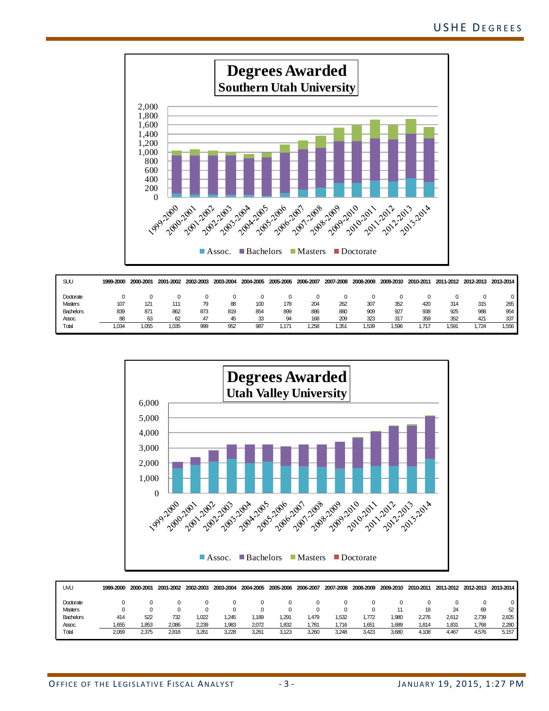

| SUU            | 1999-2000 | 2000-2001 | 2001-2002 | 2002-2003 | 2003-2004 | 2004-2005 | 2005-2006 | 2006-2007 |      | 2007-2008 2008-2009 2009-2010 |      | 2010-2011 | 2011-2012 |       | 2012-2013 2013-2014 |
|----------------|-----------|-----------|-----------|-----------|-----------|-----------|-----------|-----------|------|-------------------------------|------|-----------|-----------|-------|---------------------|
| Doctorate      |           |           |           |           |           |           |           |           |      |                               |      |           |           |       |                     |
| <b>Masters</b> | 107       | 121       | 111       | 79        | 88        | 100       | 178       | 204       | 262  | 307                           | 352  | 420       | 314       | 315   | 265                 |
| Bachelors      | 839       | 871       | 862       | 873       | 819       | 854       | 899       | 886       | 880  | 909                           | 927  | 938       | 925       | 988   | 954                 |
| Assoc.         | 88        | 63        | 62        | 47        | 45        | 33        | QΔ        | 168       | 209  | 323                           | 317  | 359       | 352       | 421   | 337                 |
| Total          | .034      | .055      | .035      | 999       | 952       | 987       |           | .258      | ,351 | 1,539                         | .596 | . 717     | 1.591     | 1,724 | 1.556               |



| UVU              | 1999-2000 | 2000-2001 | 2001-2002 | 2002-2003 | 2003-2004 | 2004-2005 | 2005-2006 | 2006-2007 | 2007-2008 | 2008-2009 | 2009-2010 | 2010-2011 | 2011-2012 |       | 2012-2013 2013-2014 |
|------------------|-----------|-----------|-----------|-----------|-----------|-----------|-----------|-----------|-----------|-----------|-----------|-----------|-----------|-------|---------------------|
| Doctorate        |           |           |           |           |           |           |           |           |           |           |           |           |           |       |                     |
| <b>Masters</b>   |           |           |           |           |           |           |           |           |           |           |           |           | 24        | -69   | 52                  |
| <b>Bachelors</b> | 414       | 522       | 732       | .022      | .245      | . 189     | .291      | 479. ا    | 1.532     | .772      | .980      | 2.276     | 2.612     | 2.739 | 2.825               |
| Assoc.           | .655      | 1.853     | 2.086     | 2.239     | .983      | 2.072     | .832      | 1.781     | 1.716     | .651      | .689      | 1.814     | 1.831     | 1.768 | 2,280               |
| Total            | 2,069     | 2.375     | 2.818     | 3.26      | 3,228     | 3,261     | 3.123     | 3.260     | 3,248     | 3,423     | 3,680     | 4.108     | 4,467     | 4.576 | 5.157               |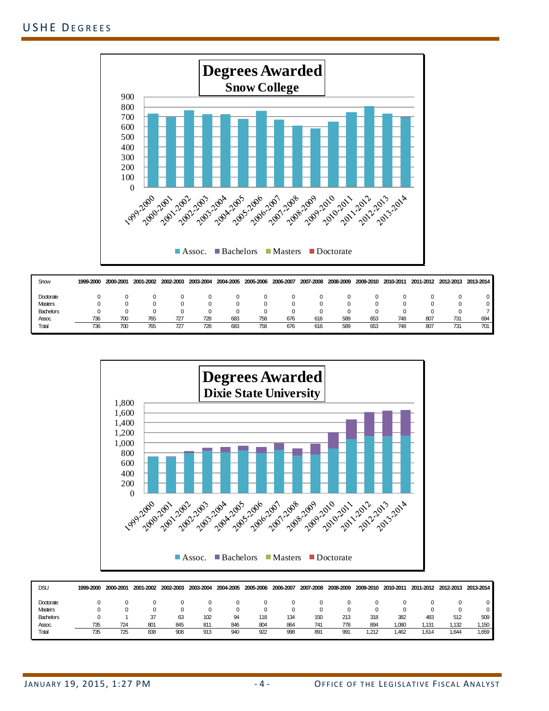

| Snow           | 1999-2000 | 2000-2001 | 2001-2002 | 2002-2003 | 2003-2004 | 2004-2005 | 2005-2006  | 2006-2007 |     | 2007-2008 2008-2009 2009-2010 |     |     | 2010-2011 2011-2012 |     | 2012-2013 2013-2014 |
|----------------|-----------|-----------|-----------|-----------|-----------|-----------|------------|-----------|-----|-------------------------------|-----|-----|---------------------|-----|---------------------|
| Doctorate      |           |           |           |           |           |           |            | 0         |     |                               |     |     |                     |     |                     |
| <b>Masters</b> |           |           |           |           |           |           | $^{(1)}$   | $^{(1)}$  |     |                               |     |     |                     |     |                     |
| Bachelors      |           |           |           |           |           |           | $^{\circ}$ | 0         |     |                               |     |     |                     |     |                     |
| Assoc.         | 736       | 700       | 765       | 727       | 728       | 683       | 758        | 676       | 616 | 589                           | 653 | 748 | 807                 | 731 | 694                 |
| Total          | 736       | 700       | 765       | 727       | 728       | 683       | 758        | 676       | 616 | 589                           | 653 | 748 | 807                 | 731 | 701                 |



| <b>DSU</b>       | 1999-2000 | 2000-2001 | 2001-2002 | 2002-2003 | 2003-2004 | 2004-2005 | 2005-2006 | 2006-2007 | 2007-2008 | 2008-2009 | 2009-2010 | 2010-2011 | 2011-2012 |        | 2012-2013 2013-2014 |
|------------------|-----------|-----------|-----------|-----------|-----------|-----------|-----------|-----------|-----------|-----------|-----------|-----------|-----------|--------|---------------------|
| Doctorate        |           |           |           |           |           |           |           |           |           |           |           |           |           |        |                     |
| <b>Masters</b>   |           |           |           |           |           |           |           |           |           |           |           |           |           |        |                     |
| <b>Bachelors</b> |           |           |           | 63        | 102       |           | 118       | 134       | 150       | 213       | 318       | 382       | 483       | 512    | 509                 |
| Assoc.           | 735       | 724       | 801       | 845       | 811       | 846       | 804       | 864       | 741       | 778       | 894       | .080      | .131      | 1.132  | 1.150               |
| Total            | 735       | 725       | 838       | 908       | 913       | 940       | 922       | 998       | 891       | 991       | .212      | .462      | .614      | 644، ن | 1,659               |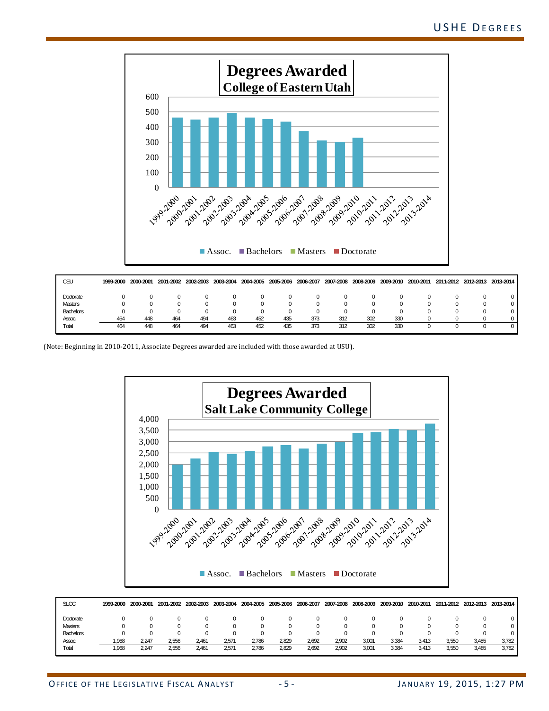

| CEU              | 1999-2000 | 2000-2001 |     | 2001-2002 2002-2003 | 2003-2004 | 2004-2005 | 2005-2006 | 2006-2007 | 2007-2008 | 2008-2009 |     |  | 2009-2010 2010-2011 2011-2012 2012-2013 2013-2014 |
|------------------|-----------|-----------|-----|---------------------|-----------|-----------|-----------|-----------|-----------|-----------|-----|--|---------------------------------------------------|
| Doctorate        |           |           |     |                     |           |           |           |           |           |           |     |  |                                                   |
| Masters          |           |           |     |                     |           |           |           |           |           |           |     |  |                                                   |
| <b>Bachelors</b> |           |           |     |                     |           |           |           |           |           |           |     |  |                                                   |
| Assoc.           | 464       | 448       | 464 | 494                 | 463       | 452       | 435       | 373       | 312       | 302       | 330 |  |                                                   |
| Total            | 464       | 448       | 464 | 494                 | 463       | 452       | 435       | 373       | 312       | 302       | 330 |  |                                                   |

(Note: Beginning in 2010-2011, Associate Degrees awarded are included with those awarded at USU).



| <b>SLCC</b>    | 1999-2000 | 2000-2001 | 2001-2002 | 2002-2003 | 2003-2004      |       | 2004-2005 2005-2006 2006-2007 |       | 2007-2008 | 2008-2009 | 2009-2010 | 2010-2011 | 2011-2012 |       | 2012-2013 2013-2014 |
|----------------|-----------|-----------|-----------|-----------|----------------|-------|-------------------------------|-------|-----------|-----------|-----------|-----------|-----------|-------|---------------------|
| Doctorate      |           |           |           |           |                |       |                               |       |           |           |           |           |           |       |                     |
| <b>Masters</b> |           |           |           |           |                |       |                               |       |           |           |           |           |           |       |                     |
| Bachelors      |           |           |           |           |                |       |                               |       |           |           |           |           |           |       |                     |
| Assoc.         | .968      | 2,247     | 2,556     | 2.461     | $2.57^{\circ}$ | 2,786 | 2,829                         | 2,692 | 2,902     | 3,001     | 3.384     | 3.413     | 3,550     | 3,485 | 3,782               |
| Total          | 1,968     | 2,247     | 2,556     | 2.461     | $2,57^\circ$   | 2,786 | 2,829                         | 2,692 | 2,902     | 3,001     | 3.384     | 3,413     | 3,550     | 3,485 | 3,782               |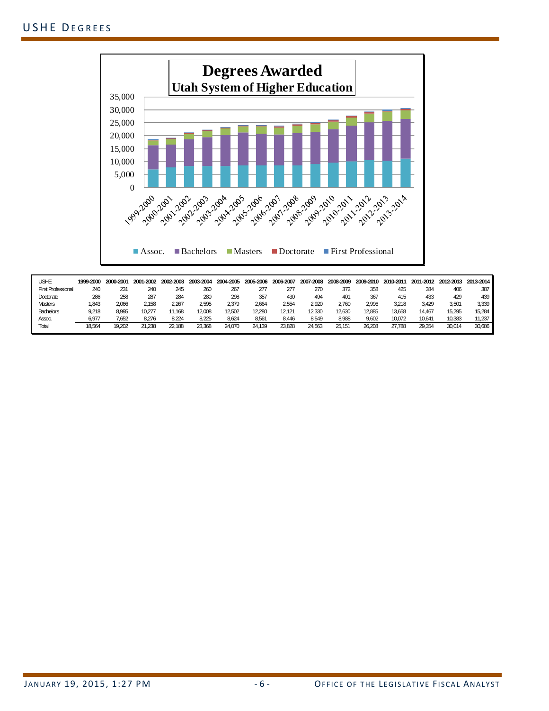

| USHE                      | 1999-2000 | 2000-2001    | 2001-2002 | 2002-2003 | 2003-2004 | 2004-2005 | 2005-2006 | 2006-2007 | 2007-2008 | 2008-2009 | 2009-2010 | 2010-2011 | 2011-2012 | 2012-2013 | 2013-2014 |
|---------------------------|-----------|--------------|-----------|-----------|-----------|-----------|-----------|-----------|-----------|-----------|-----------|-----------|-----------|-----------|-----------|
| <b>First Professional</b> | 240       | $23^{\circ}$ | 240       | 245       | 260       | 267       | 277       |           | 270       | 372       | 358       | 425       | 384       | 406       | 387       |
| Doctorate                 | 286       | 258          | 287       | 284       | 280       | 298       | 357       | 430       | 494       | 401       | 367       | 415       | 433       | 429       | 439       |
| <b>Masters</b>            | .843      | 2.066        | 2.158     | 2.267     | 2.595     | 2,379     | 2.664     | 2.554     | 2,920     | 2,760     | 2.996     | 3,218     | 3.429     | 3.501     | 3,339     |
| <b>Bachelors</b>          | 9.218     | 8.995        | 10,277    | 1.168     | 12.008    | 12,502    | 12.280    | 12.121    | 12,330    | 12.630    | 12.885    | 13.658    | 14.467    | 15,295    | 15.284    |
| Assoc.                    | 6,977     | 1.652        | 8.276     | 8,224     | 8,225     | 8,624     | 8,561     | 8.446     | 8,549     | 8,988     | 9,602     | 10,072    | 10,641    | 10,383    | 11,237    |
| Total                     | 18.564    | 19.202       | 21.238    | 22.188    | 23.368    | 24,070    | 24.139    | 23.828    | 24.563    | 25.151    | 26.208    | 27.788    | 29.354    | 30.014    | 30.686    |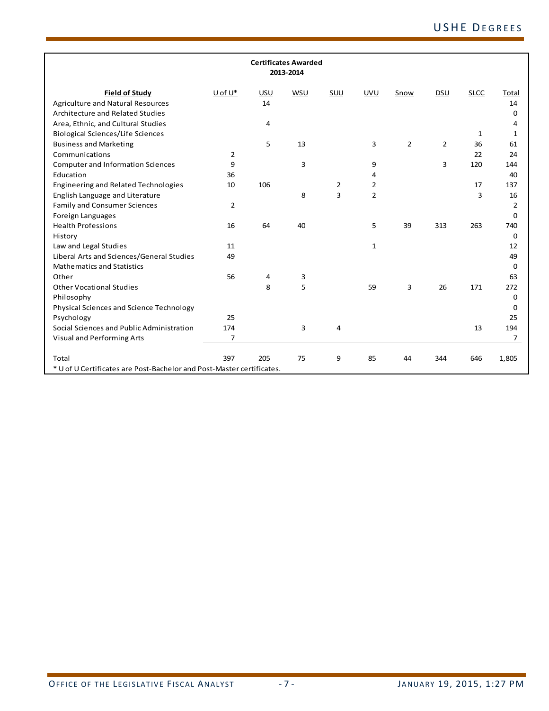|                                                                       |                |     | <b>Certificates Awarded</b><br>2013-2014 |     |                |                |                |             |                |
|-----------------------------------------------------------------------|----------------|-----|------------------------------------------|-----|----------------|----------------|----------------|-------------|----------------|
| <b>Field of Study</b>                                                 | U of U*        | USU | WSU                                      | SUU | <b>UVU</b>     | Snow           | DSU            | <b>SLCC</b> | Total          |
| <b>Agriculture and Natural Resources</b>                              |                | 14  |                                          |     |                |                |                |             | 14             |
| Architecture and Related Studies                                      |                |     |                                          |     |                |                |                |             | 0              |
| Area, Ethnic, and Cultural Studies                                    |                | 4   |                                          |     |                |                |                |             | 4              |
| <b>Biological Sciences/Life Sciences</b>                              |                |     |                                          |     |                |                |                | 1           | 1              |
| <b>Business and Marketing</b>                                         |                | 5   | 13                                       |     | 3              | $\overline{2}$ | $\overline{2}$ | 36          | 61             |
| Communications                                                        | 2              |     |                                          |     |                |                |                | 22          | 24             |
| <b>Computer and Information Sciences</b>                              | 9              |     | 3                                        |     | 9              |                | 3              | 120         | 144            |
| Education                                                             | 36             |     |                                          |     | 4              |                |                |             | 40             |
| Engineering and Related Technologies                                  | 10             | 106 |                                          | 2   | $\overline{2}$ |                |                | 17          | 137            |
| English Language and Literature                                       |                |     | 8                                        | 3   | $\overline{2}$ |                |                | 3           | 16             |
| <b>Family and Consumer Sciences</b>                                   | $\overline{2}$ |     |                                          |     |                |                |                |             | $\overline{2}$ |
| Foreign Languages                                                     |                |     |                                          |     |                |                |                |             | $\Omega$       |
| <b>Health Professions</b>                                             | 16             | 64  | 40                                       |     | 5              | 39             | 313            | 263         | 740            |
| History                                                               |                |     |                                          |     |                |                |                |             | 0              |
| Law and Legal Studies                                                 | 11             |     |                                          |     | $\mathbf{1}$   |                |                |             | 12             |
| Liberal Arts and Sciences/General Studies                             | 49             |     |                                          |     |                |                |                |             | 49             |
| <b>Mathematics and Statistics</b>                                     |                |     |                                          |     |                |                |                |             | 0              |
| Other                                                                 | 56             | 4   | 3                                        |     |                |                |                |             | 63             |
| <b>Other Vocational Studies</b>                                       |                | 8   | 5                                        |     | 59             | 3              | 26             | 171         | 272            |
| Philosophy                                                            |                |     |                                          |     |                |                |                |             | 0              |
| Physical Sciences and Science Technology                              |                |     |                                          |     |                |                |                |             | 0              |
| Psychology                                                            | 25             |     |                                          |     |                |                |                |             | 25             |
| Social Sciences and Public Administration                             | 174            |     | 3                                        | 4   |                |                |                | 13          | 194            |
| Visual and Performing Arts                                            | $\overline{7}$ |     |                                          |     |                |                |                |             | $\overline{7}$ |
| Total                                                                 | 397            | 205 | 75                                       | 9   | 85             | 44             | 344            | 646         | 1,805          |
| * U of U Certificates are Post-Bachelor and Post-Master certificates. |                |     |                                          |     |                |                |                |             |                |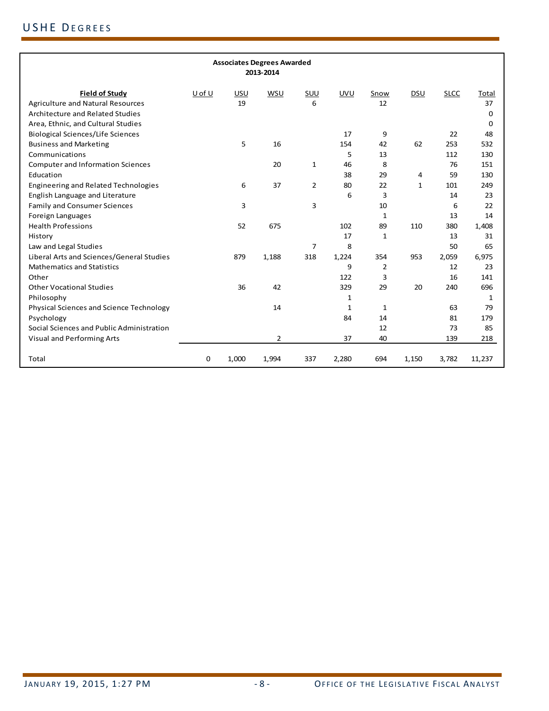|                                           |        |       | <b>Associates Degrees Awarded</b><br>2013-2014 |                |            |              |              |             |        |
|-------------------------------------------|--------|-------|------------------------------------------------|----------------|------------|--------------|--------------|-------------|--------|
| <b>Field of Study</b>                     | U of U | USU   | WSU                                            | SUU            | <b>UVU</b> | Snow         | DSU          | <b>SLCC</b> | Total  |
| <b>Agriculture and Natural Resources</b>  |        | 19    |                                                | 6              |            | 12           |              |             | 37     |
| Architecture and Related Studies          |        |       |                                                |                |            |              |              |             | 0      |
| Area, Ethnic, and Cultural Studies        |        |       |                                                |                |            |              |              |             | 0      |
| <b>Biological Sciences/Life Sciences</b>  |        |       |                                                |                | 17         | 9            |              | 22          | 48     |
| <b>Business and Marketing</b>             |        | 5     | 16                                             |                | 154        | 42           | 62           | 253         | 532    |
| Communications                            |        |       |                                                |                | 5          | 13           |              | 112         | 130    |
| <b>Computer and Information Sciences</b>  |        |       | 20                                             | $\mathbf{1}$   | 46         | 8            |              | 76          | 151    |
| Education                                 |        |       |                                                |                | 38         | 29           | 4            | 59          | 130    |
| Engineering and Related Technologies      |        | 6     | 37                                             | $\overline{2}$ | 80         | 22           | $\mathbf{1}$ | 101         | 249    |
| English Language and Literature           |        |       |                                                |                | 6          | 3            |              | 14          | 23     |
| <b>Family and Consumer Sciences</b>       |        | 3     |                                                | $\overline{3}$ |            | 10           |              | 6           | 22     |
| Foreign Languages                         |        |       |                                                |                |            | 1            |              | 13          | 14     |
| <b>Health Professions</b>                 |        | 52    | 675                                            |                | 102        | 89           | 110          | 380         | 1,408  |
| History                                   |        |       |                                                |                | 17         | $\mathbf{1}$ |              | 13          | 31     |
| Law and Legal Studies                     |        |       |                                                | $\overline{7}$ | 8          |              |              | 50          | 65     |
| Liberal Arts and Sciences/General Studies |        | 879   | 1,188                                          | 318            | 1,224      | 354          | 953          | 2,059       | 6,975  |
| <b>Mathematics and Statistics</b>         |        |       |                                                |                | 9          | 2            |              | 12          | 23     |
| Other                                     |        |       |                                                |                | 122        | 3            |              | 16          | 141    |
| <b>Other Vocational Studies</b>           |        | 36    | 42                                             |                | 329        | 29           | 20           | 240         | 696    |
| Philosophy                                |        |       |                                                |                | 1          |              |              |             | 1      |
| Physical Sciences and Science Technology  |        |       | 14                                             |                | 1          | $\mathbf{1}$ |              | 63          | 79     |
| Psychology                                |        |       |                                                |                | 84         | 14           |              | 81          | 179    |
| Social Sciences and Public Administration |        |       |                                                |                |            | 12           |              | 73          | 85     |
| Visual and Performing Arts                |        |       | $\overline{2}$                                 |                | 37         | 40           |              | 139         | 218    |
| Total                                     | 0      | 1,000 | 1,994                                          | 337            | 2,280      | 694          | 1,150        | 3,782       | 11,237 |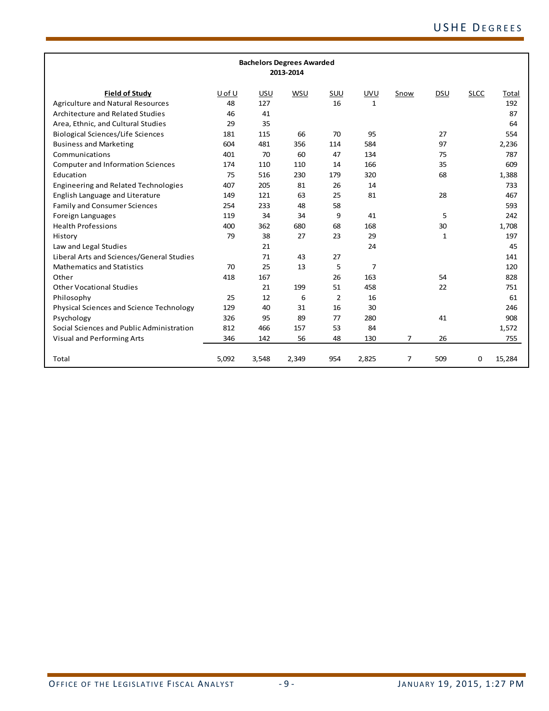| <b>Bachelors Degrees Awarded</b>          |        |       |       |     |              |                |     |             |        |
|-------------------------------------------|--------|-------|-------|-----|--------------|----------------|-----|-------------|--------|
| 2013-2014                                 |        |       |       |     |              |                |     |             |        |
|                                           |        |       |       |     |              |                |     |             |        |
| <b>Field of Study</b>                     | U of U | USU   | WSU   | SUU | <b>UVU</b>   | Snow           | DSU | <b>SLCC</b> | Total  |
| <b>Agriculture and Natural Resources</b>  | 48     | 127   |       | 16  | $\mathbf{1}$ |                |     |             | 192    |
| Architecture and Related Studies          | 46     | 41    |       |     |              |                |     |             | 87     |
| Area, Ethnic, and Cultural Studies        | 29     | 35    |       |     |              |                |     |             | 64     |
| <b>Biological Sciences/Life Sciences</b>  | 181    | 115   | 66    | 70  | 95           |                | 27  |             | 554    |
| <b>Business and Marketing</b>             | 604    | 481   | 356   | 114 | 584          |                | 97  |             | 2,236  |
| Communications                            | 401    | 70    | 60    | 47  | 134          |                | 75  |             | 787    |
| <b>Computer and Information Sciences</b>  | 174    | 110   | 110   | 14  | 166          |                | 35  |             | 609    |
| Education                                 | 75     | 516   | 230   | 179 | 320          |                | 68  |             | 1,388  |
| Engineering and Related Technologies      | 407    | 205   | 81    | 26  | 14           |                |     |             | 733    |
| English Language and Literature           | 149    | 121   | 63    | 25  | 81           |                | 28  |             | 467    |
| <b>Family and Consumer Sciences</b>       | 254    | 233   | 48    | 58  |              |                |     |             | 593    |
| Foreign Languages                         | 119    | 34    | 34    | 9   | 41           |                | 5   |             | 242    |
| <b>Health Professions</b>                 | 400    | 362   | 680   | 68  | 168          |                | 30  |             | 1,708  |
| History                                   | 79     | 38    | 27    | 23  | 29           |                | 1   |             | 197    |
| Law and Legal Studies                     |        | 21    |       |     | 24           |                |     |             | 45     |
| Liberal Arts and Sciences/General Studies |        | 71    | 43    | 27  |              |                |     |             | 141    |
| <b>Mathematics and Statistics</b>         | 70     | 25    | 13    | 5   | 7            |                |     |             | 120    |
| Other                                     | 418    | 167   |       | 26  | 163          |                | 54  |             | 828    |
| <b>Other Vocational Studies</b>           |        | 21    | 199   | 51  | 458          |                | 22  |             | 751    |
| Philosophy                                | 25     | 12    | 6     | 2   | 16           |                |     |             | 61     |
| Physical Sciences and Science Technology  | 129    | 40    | 31    | 16  | 30           |                |     |             | 246    |
| Psychology                                | 326    | 95    | 89    | 77  | 280          |                | 41  |             | 908    |
| Social Sciences and Public Administration | 812    | 466   | 157   | 53  | 84           |                |     |             | 1,572  |
| Visual and Performing Arts                | 346    | 142   | 56    | 48  | 130          | $\overline{7}$ | 26  |             | 755    |
|                                           |        |       |       |     |              |                |     |             |        |
| Total                                     | 5,092  | 3,548 | 2,349 | 954 | 2,825        | $\overline{7}$ | 509 | $\mathbf 0$ | 15,284 |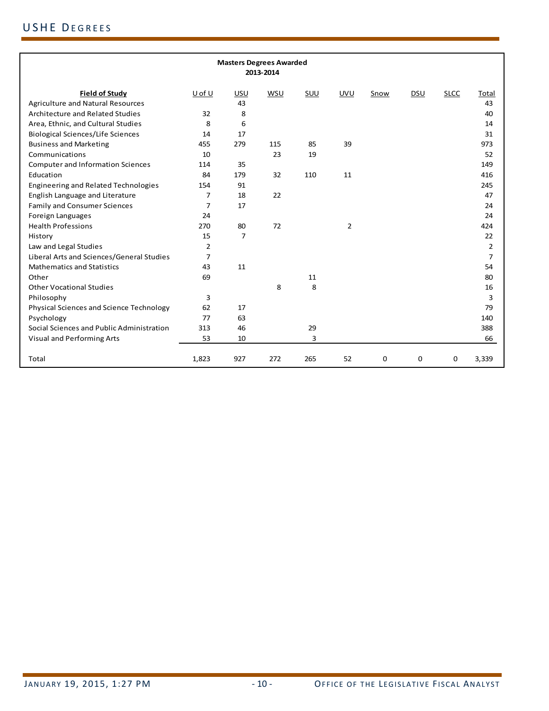| <b>Masters Degrees Awarded</b><br>2013-2014 |                |     |     |     |            |             |            |             |                |
|---------------------------------------------|----------------|-----|-----|-----|------------|-------------|------------|-------------|----------------|
| <b>Field of Study</b>                       | U of U         | USU | WSU | SUU | <b>UVU</b> | Snow        | <b>DSU</b> | <b>SLCC</b> | Total          |
| <b>Agriculture and Natural Resources</b>    |                | 43  |     |     |            |             |            |             | 43             |
| Architecture and Related Studies            | 32             | 8   |     |     |            |             |            |             | 40             |
| Area, Ethnic, and Cultural Studies          | 8              | 6   |     |     |            |             |            |             | 14             |
| <b>Biological Sciences/Life Sciences</b>    | 14             | 17  |     |     |            |             |            |             | 31             |
| <b>Business and Marketing</b>               | 455            | 279 | 115 | 85  | 39         |             |            |             | 973            |
| Communications                              | 10             |     | 23  | 19  |            |             |            |             | 52             |
| <b>Computer and Information Sciences</b>    | 114            | 35  |     |     |            |             |            |             | 149            |
| Education                                   | 84             | 179 | 32  | 110 | 11         |             |            |             | 416            |
| <b>Engineering and Related Technologies</b> | 154            | 91  |     |     |            |             |            |             | 245            |
| English Language and Literature             | $\overline{7}$ | 18  | 22  |     |            |             |            |             | 47             |
| <b>Family and Consumer Sciences</b>         | 7              | 17  |     |     |            |             |            |             | 24             |
| Foreign Languages                           | 24             |     |     |     |            |             |            |             | 24             |
| <b>Health Professions</b>                   | 270            | 80  | 72  |     | 2          |             |            |             | 424            |
| History                                     | 15             | 7   |     |     |            |             |            |             | 22             |
| Law and Legal Studies                       | $\overline{2}$ |     |     |     |            |             |            |             | 2              |
| Liberal Arts and Sciences/General Studies   | $\overline{7}$ |     |     |     |            |             |            |             | $\overline{7}$ |
| <b>Mathematics and Statistics</b>           | 43             | 11  |     |     |            |             |            |             | 54             |
| Other                                       | 69             |     |     | 11  |            |             |            |             | 80             |
| <b>Other Vocational Studies</b>             |                |     | 8   | 8   |            |             |            |             | 16             |
| Philosophy                                  | 3              |     |     |     |            |             |            |             | 3              |
| Physical Sciences and Science Technology    | 62             | 17  |     |     |            |             |            |             | 79             |
| Psychology                                  | 77             | 63  |     |     |            |             |            |             | 140            |
| Social Sciences and Public Administration   | 313            | 46  |     | 29  |            |             |            |             | 388            |
| Visual and Performing Arts                  | 53             | 10  |     | 3   |            |             |            |             | 66             |
| Total                                       | 1,823          | 927 | 272 | 265 | 52         | $\mathbf 0$ | $\Omega$   | $\mathbf 0$ | 3,339          |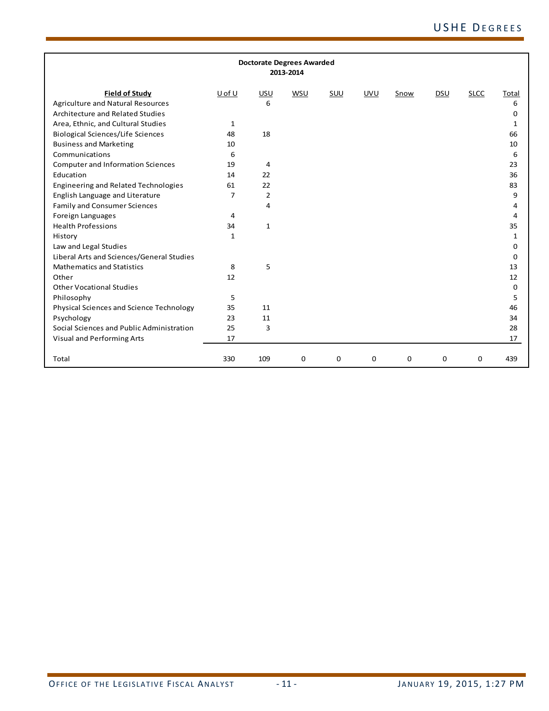| <b>Doctorate Degrees Awarded</b><br>2013-2014 |        |                |     |     |             |             |             |             |          |
|-----------------------------------------------|--------|----------------|-----|-----|-------------|-------------|-------------|-------------|----------|
| <b>Field of Study</b>                         | U of U | USU            | WSU | SUU | <b>UVU</b>  | Snow        | DSU         | <b>SLCC</b> | Total    |
| <b>Agriculture and Natural Resources</b>      |        | 6              |     |     |             |             |             |             | 6        |
| Architecture and Related Studies              |        |                |     |     |             |             |             |             | 0        |
| Area, Ethnic, and Cultural Studies            | 1      |                |     |     |             |             |             |             | 1        |
| <b>Biological Sciences/Life Sciences</b>      | 48     | 18             |     |     |             |             |             |             | 66       |
| <b>Business and Marketing</b>                 | 10     |                |     |     |             |             |             |             | 10       |
| Communications                                | 6      |                |     |     |             |             |             |             | 6        |
| <b>Computer and Information Sciences</b>      | 19     | 4              |     |     |             |             |             |             | 23       |
| Education                                     | 14     | 22             |     |     |             |             |             |             | 36       |
| Engineering and Related Technologies          | 61     | 22             |     |     |             |             |             |             | 83       |
| English Language and Literature               | 7      | $\overline{2}$ |     |     |             |             |             |             | 9        |
| <b>Family and Consumer Sciences</b>           |        | 4              |     |     |             |             |             |             | 4        |
| Foreign Languages                             | 4      |                |     |     |             |             |             |             | 4        |
| <b>Health Professions</b>                     | 34     | $\mathbf{1}$   |     |     |             |             |             |             | 35       |
| History                                       | 1      |                |     |     |             |             |             |             | 1        |
| Law and Legal Studies                         |        |                |     |     |             |             |             |             | 0        |
| Liberal Arts and Sciences/General Studies     |        |                |     |     |             |             |             |             | $\Omega$ |
| <b>Mathematics and Statistics</b>             | 8      | 5              |     |     |             |             |             |             | 13       |
| Other                                         | 12     |                |     |     |             |             |             |             | 12       |
| <b>Other Vocational Studies</b>               |        |                |     |     |             |             |             |             | 0        |
| Philosophy                                    | 5      |                |     |     |             |             |             |             | 5        |
| Physical Sciences and Science Technology      | 35     | 11             |     |     |             |             |             |             | 46       |
| Psychology                                    | 23     | 11             |     |     |             |             |             |             | 34       |
| Social Sciences and Public Administration     | 25     | 3              |     |     |             |             |             |             | 28       |
| Visual and Performing Arts                    | 17     |                |     |     |             |             |             |             | 17       |
| Total                                         | 330    | 109            | 0   | 0   | $\mathbf 0$ | $\mathbf 0$ | $\mathbf 0$ | $\mathbf 0$ | 439      |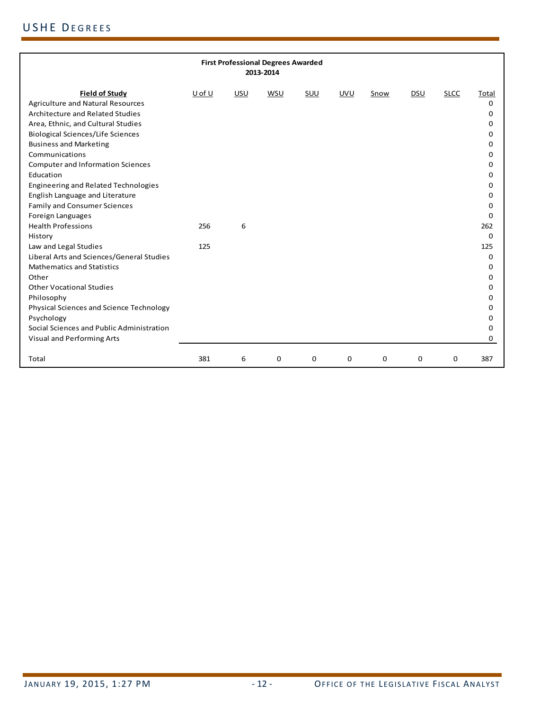| <b>First Professional Degrees Awarded</b><br>2013-2014                         |        |     |            |     |            |      |             |             |          |
|--------------------------------------------------------------------------------|--------|-----|------------|-----|------------|------|-------------|-------------|----------|
| <b>Field of Study</b>                                                          | U of U | USU | <b>WSU</b> | SUU | <b>UVU</b> | Snow | DSU         | <b>SLCC</b> | Total    |
| <b>Agriculture and Natural Resources</b>                                       |        |     |            |     |            |      |             |             | $\Omega$ |
| Architecture and Related Studies                                               |        |     |            |     |            |      |             |             | 0        |
| Area, Ethnic, and Cultural Studies                                             |        |     |            |     |            |      |             |             | 0        |
| <b>Biological Sciences/Life Sciences</b>                                       |        |     |            |     |            |      |             |             | 0        |
| <b>Business and Marketing</b>                                                  |        |     |            |     |            |      |             |             | 0        |
| Communications                                                                 |        |     |            |     |            |      |             |             | O        |
| <b>Computer and Information Sciences</b>                                       |        |     |            |     |            |      |             |             | 0        |
| Education                                                                      |        |     |            |     |            |      |             |             | O        |
| Engineering and Related Technologies                                           |        |     |            |     |            |      |             |             | 0        |
| English Language and Literature                                                |        |     |            |     |            |      |             |             | 0        |
| <b>Family and Consumer Sciences</b>                                            |        |     |            |     |            |      |             |             | U        |
| Foreign Languages                                                              |        |     |            |     |            |      |             |             | 0        |
| <b>Health Professions</b>                                                      | 256    | 6   |            |     |            |      |             |             | 262      |
| History                                                                        |        |     |            |     |            |      |             |             | 0        |
| Law and Legal Studies                                                          | 125    |     |            |     |            |      |             |             | 125      |
| Liberal Arts and Sciences/General Studies<br><b>Mathematics and Statistics</b> |        |     |            |     |            |      |             |             | $\Omega$ |
| Other                                                                          |        |     |            |     |            |      |             |             | 0<br>O   |
| <b>Other Vocational Studies</b>                                                |        |     |            |     |            |      |             |             | 0        |
| Philosophy                                                                     |        |     |            |     |            |      |             |             | 0        |
| Physical Sciences and Science Technology                                       |        |     |            |     |            |      |             |             | o        |
| Psychology                                                                     |        |     |            |     |            |      |             |             | 0        |
| Social Sciences and Public Administration                                      |        |     |            |     |            |      |             |             | 0        |
| Visual and Performing Arts                                                     |        |     |            |     |            |      |             |             | 0        |
|                                                                                |        |     |            |     |            |      |             |             |          |
| Total                                                                          | 381    | 6   | 0          | 0   | 0          | 0    | $\mathbf 0$ | 0           | 387      |